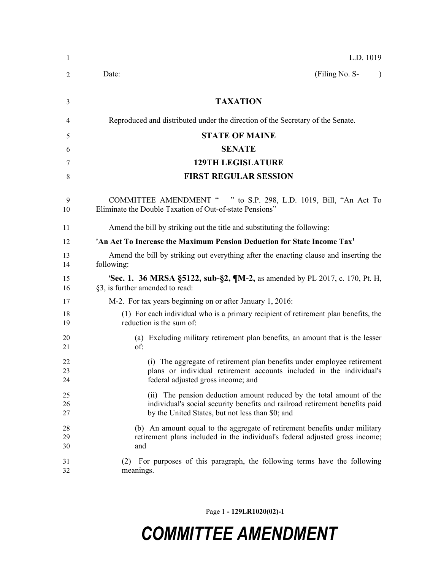| 1              | L.D. 1019                                                                                                                                                                                               |
|----------------|---------------------------------------------------------------------------------------------------------------------------------------------------------------------------------------------------------|
| 2              | (Filing No. S-<br>Date:<br>$\lambda$                                                                                                                                                                    |
| 3              | <b>TAXATION</b>                                                                                                                                                                                         |
| 4              | Reproduced and distributed under the direction of the Secretary of the Senate.                                                                                                                          |
| 5              | <b>STATE OF MAINE</b>                                                                                                                                                                                   |
| 6              | <b>SENATE</b>                                                                                                                                                                                           |
| 7              | <b>129TH LEGISLATURE</b>                                                                                                                                                                                |
| 8              | <b>FIRST REGULAR SESSION</b>                                                                                                                                                                            |
| 9<br>10        | COMMITTEE AMENDMENT " " to S.P. 298, L.D. 1019, Bill, "An Act To<br>Eliminate the Double Taxation of Out-of-state Pensions"                                                                             |
| 11             | Amend the bill by striking out the title and substituting the following:                                                                                                                                |
| 12             | 'An Act To Increase the Maximum Pension Deduction for State Income Tax'                                                                                                                                 |
| 13<br>14       | Amend the bill by striking out everything after the enacting clause and inserting the<br>following:                                                                                                     |
| 15<br>16       | <b>Sec. 1. 36 MRSA §5122, sub-§2, ¶M-2, as amended by PL 2017, c. 170, Pt. H.</b><br>§3, is further amended to read:                                                                                    |
| 17             | M-2. For tax years beginning on or after January 1, 2016:                                                                                                                                               |
| 18<br>19       | (1) For each individual who is a primary recipient of retirement plan benefits, the<br>reduction is the sum of:                                                                                         |
| 20<br>21       | (a) Excluding military retirement plan benefits, an amount that is the lesser<br>of:                                                                                                                    |
| 22<br>23<br>24 | (i) The aggregate of retirement plan benefits under employee retirement<br>plans or individual retirement accounts included in the individual's<br>federal adjusted gross income; and                   |
| 25<br>26<br>27 | (ii) The pension deduction amount reduced by the total amount of the<br>individual's social security benefits and railroad retirement benefits paid<br>by the United States, but not less than \$0; and |
| 28<br>29<br>30 | (b) An amount equal to the aggregate of retirement benefits under military<br>retirement plans included in the individual's federal adjusted gross income;<br>and                                       |
| 31<br>32       | For purposes of this paragraph, the following terms have the following<br>(2)<br>meanings.                                                                                                              |

Page 1 **- 129LR1020(02)-1**

## *COMMITTEE AMENDMENT*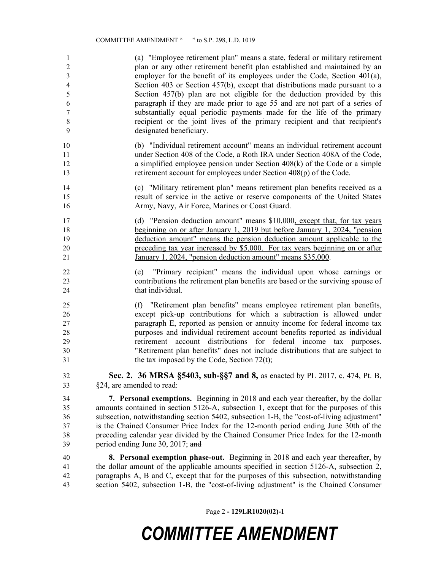| 1                       | (a) "Employee retirement plan" means a state, federal or military retirement                                                                                                  |
|-------------------------|-------------------------------------------------------------------------------------------------------------------------------------------------------------------------------|
| $\overline{\mathbf{c}}$ | plan or any other retirement benefit plan established and maintained by an                                                                                                    |
| 3                       | employer for the benefit of its employees under the Code, Section $401(a)$ ,                                                                                                  |
| $\overline{\mathbf{4}}$ | Section 403 or Section 457(b), except that distributions made pursuant to a                                                                                                   |
| 5                       | Section 457(b) plan are not eligible for the deduction provided by this                                                                                                       |
| 6                       | paragraph if they are made prior to age 55 and are not part of a series of                                                                                                    |
| $\boldsymbol{7}$        | substantially equal periodic payments made for the life of the primary                                                                                                        |
| $8\,$                   | recipient or the joint lives of the primary recipient and that recipient's                                                                                                    |
| 9                       | designated beneficiary.                                                                                                                                                       |
| 10                      | (b) "Individual retirement account" means an individual retirement account                                                                                                    |
| 11                      | under Section 408 of the Code, a Roth IRA under Section 408A of the Code,                                                                                                     |
| 12                      | a simplified employee pension under Section $408(k)$ of the Code or a simple                                                                                                  |
| 13                      | retirement account for employees under Section 408(p) of the Code.                                                                                                            |
| 14                      | (c) "Military retirement plan" means retirement plan benefits received as a                                                                                                   |
| 15                      | result of service in the active or reserve components of the United States                                                                                                    |
| 16                      | Army, Navy, Air Force, Marines or Coast Guard.                                                                                                                                |
| 17                      | (d) "Pension deduction amount" means \$10,000, except that, for tax years                                                                                                     |
| 18                      | beginning on or after January 1, 2019 but before January 1, 2024, "pension                                                                                                    |
| 19                      | deduction amount" means the pension deduction amount applicable to the                                                                                                        |
| 20                      | preceding tax year increased by \$5,000. For tax years beginning on or after                                                                                                  |
| 21                      | January 1, 2024, "pension deduction amount" means \$35,000.                                                                                                                   |
| 22<br>23<br>24          | "Primary recipient" means the individual upon whose earnings or<br>(e)<br>contributions the retirement plan benefits are based or the surviving spouse of<br>that individual. |
| 25                      | (f) "Retirement plan benefits" means employee retirement plan benefits,                                                                                                       |
| 26                      | except pick-up contributions for which a subtraction is allowed under                                                                                                         |
| 27                      | paragraph E, reported as pension or annuity income for federal income tax                                                                                                     |
| 28                      | purposes and individual retirement account benefits reported as individual                                                                                                    |
| 29                      | retirement account distributions for federal income tax purposes.                                                                                                             |
| 30                      | "Retirement plan benefits" does not include distributions that are subject to                                                                                                 |
| 31                      | the tax imposed by the Code, Section $72(t)$ ;                                                                                                                                |
| 32                      | Sec. 2. 36 MRSA §5403, sub-§§7 and 8, as enacted by PL 2017, c. 474, Pt. B,                                                                                                   |
| 33                      | §24, are amended to read:                                                                                                                                                     |
| 34                      | 7. Personal exemptions. Beginning in 2018 and each year thereafter, by the dollar                                                                                             |
| 35                      | amounts contained in section 5126-A, subsection 1, except that for the purposes of this                                                                                       |
| 36                      | subsection, notwithstanding section 5402, subsection 1-B, the "cost-of-living adjustment"                                                                                     |
| 37                      | is the Chained Consumer Price Index for the 12-month period ending June 30th of the                                                                                           |
| 38                      | preceding calendar year divided by the Chained Consumer Price Index for the 12-month                                                                                          |
| 39                      | period ending June 30, 2017; and                                                                                                                                              |
| 40                      | 8. Personal exemption phase-out. Beginning in 2018 and each year thereafter, by                                                                                               |
| 41                      | the dollar amount of the applicable amounts specified in section 5126-A, subsection 2,                                                                                        |
| 42                      | paragraphs A, B and C, except that for the purposes of this subsection, notwithstanding                                                                                       |
| 43                      | section 5402, subsection 1-B, the "cost-of-living adjustment" is the Chained Consumer                                                                                         |

Page 2 **- 129LR1020(02)-1**

## *COMMITTEE AMENDMENT*